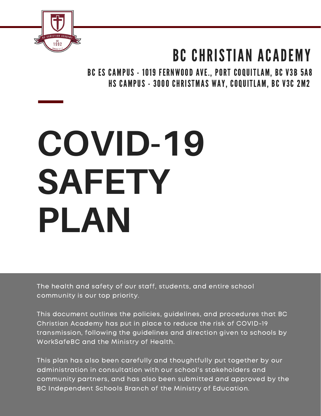

# BC CHRISTIAN ACADEMY

BC ES CAMPUS - 1019 FERNWOOD AVE., PORT COQUITLAM, BC V3B 5A8 HS CAMPUS - 3000 CHRISTMAS WAY, COQUITLAM, BC V3C 2M2

# **COVID-19 SAFETY PLAN**

The health and safety of our staff, students, and entire school community is our top priority.

This document outlines the policies, guidelines, and procedures that BC Christian Academy has put in place to reduce the risk of COVID-19 transmission, following the guidelines and direction given to schools by WorkSafeBC and the Ministry of Health.

This plan has also been carefully and thoughtfully put together by our administration in consultation with our school's stakeholders and community partners, and has also been submitted and approved by the BC Independent Schools Branch of the Ministry of Education.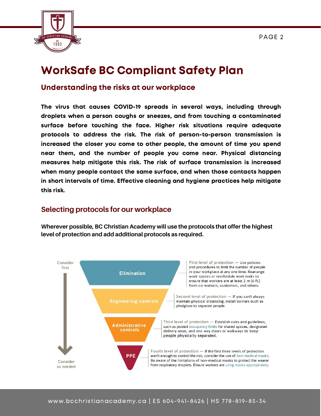

# WorkSafe BC Compliant Safety Plan

#### Understanding the risks at our workplace

The virus that causes COVID-19 spreads in several ways, including through droplets when a person coughs or sneezes, and from touching a contaminated surface before touching the face. Higher risk situations require adequate protocols to address the risk. The risk of person-to-person transmission is increased the closer you come to other people, the amount of time you spend near them, and the number of people you come near. Physical distancing measures help mitigate this risk. The risk of surface transmission is increased when many people contact the same surface, and when those contacts happen in short intervals of time. Effective cleaning and hygiene practices help mitigate this risk.

#### **Selecting protocols for our workplace**

**Wherever possible, BC Christian Academy will use the protocols that offer the highest level of protection and add additional protocols as required.**

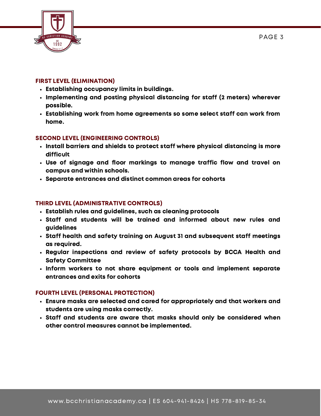

#### FIRST LEVEL (ELIMINATION)

- Establishing occupancy limits in buildings.
- Implementing and posting physical distancing for staff (2 meters) wherever possible.
- Establishing work from home agreements so some select staff can work from home.

#### SECOND LEVEL (ENGINEERING CONTROLS)

- Install barriers and shields to protect staff where physical distancing is more difficult
- Use of signage and floor markings to manage traffic flow and travel on campus and within schools.
- Separate entrances and distinct common areas for cohorts

#### THIRD LEVEL (ADMINISTRATIVE CONTROLS)

- Establish rules and guidelines, such as cleaning protocols
- Staff and students will be trained and informed about new rules and guidelines
- Staff health and safety training on August 31 and subsequent staff meetings as required.
- Regular inspections and review of safety protocols by BCCA Health and Safety Committee
- $\cdot$  Inform workers to not share equipment or tools and implement separate entrances and exits for cohorts

#### FOURTH LEVEL (PERSONAL PROTECTION)

- Ensure masks are selected and cared for appropriately and that workers and students are using masks correctly.
- Staff and students are aware that masks should only be considered when other control measures cannot be implemented.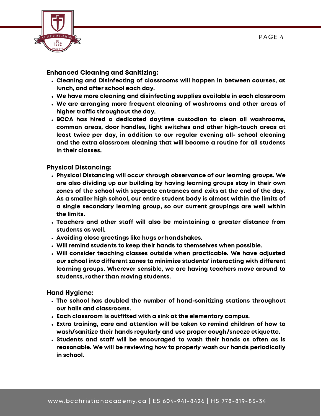

#### Enhanced Cleaning and Sanitizing:

- Cleaning and Disinfecting of classrooms will happen in between courses, at lunch, and after school each day.
- We have more cleaning and disinfecting supplies available in each classroom
- We are arranging more frequent cleaning of washrooms and other areas of higher traffic throughout the day.
- BCCA has hired a dedicated daytime custodian to clean all washrooms, common areas, door handles, light switches and other high-touch areas at least twice per day, in addition to our regular evening all- school cleaning and the extra classroom cleaning that will become a routine for all students in their classes.

Physical Distancing:

- Physical Distancing will occur through observance of our learning groups. We are also dividing up our building by having learning groups stay in their own zones of the school with separate entrances and exits at the end of the day. As a smaller high school, our entire student body is almost within the limits of a single secondary learning group, so our current groupings are well within the limits.
- Teachers and other staff will also be maintaining a greater distance from students as well.
- Avoiding close greetings like hugs or handshakes.
- Will remind students to keep their hands to themselves when possible.
- Will consider teaching classes outside when practicable. We have adjusted our school into different zones to minimize students' interacting with different learning groups. Wherever sensible, we are having teachers move around to students, rather than moving students.

Hand Hygiene:

- The school has doubled the number of hand-sanitizing stations throughout our halls and classrooms.
- Each classroom is outfitted with a sink at the elementary campus.
- Extra training, care and attention will be taken to remind children of how to wash/sanitize their hands regularly and use proper cough/sneeze etiquette.
- Students and staff will be encouraged to wash their hands as often as is reasonable. We will be reviewing how to properly wash our hands periodically in school.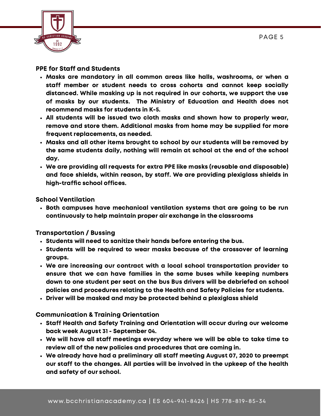

#### PPE for Staff and Students

- Masks are mandatory in all common areas like halls, washrooms, or when a staff member or student needs to cross cohorts and cannot keep socially distanced. While masking up is not required in our cohorts, we support the use of masks by our students. The Ministry of Education and Health does not recommend masks for students in K-5.
- All students will be issued two cloth masks and shown how to properly wear, remove and store them. Additional masks from home may be supplied for more frequent replacements, as needed.
- Masks and all other items brought to school by our students will be removed by the same students daily, nothing will remain at school at the end of the school day.
- We are providing all requests for extra PPE like masks (reusable and disposable) and face shields, within reason, by staff. We are providing plexiglass shields in high-traffic school offices.

#### School Ventilation

Both campuses have mechanical ventilation systems that are going to be run continuously to help maintain proper air exchange in the classrooms

#### Transportation / Bussing

- $\cdot$  Students will need to sanitize their hands before entering the bus.
- Students will be required to wear masks because of the crossover of learning groups.
- We are increasing our contract with a local school transportation provider to ensure that we can have families in the same buses while keeping numbers down to one student per seat on the bus Bus drivers will be debriefed on school policies and procedures relating to the Health and Safety Policies for students.
- Driver will be masked and may be protected behind a plexiglass shield

#### Communication & Training Orientation

- Staff Health and Safety Training and Orientation will occur during our welcome back week August 31 - September 04.
- We will have all staff meetings everyday where we will be able to take time to review all of the new policies and procedures that are coming in.
- We already have had a preliminary all staff meeting August 07, 2020 to preempt our staff to the changes. All parties will be involved in the upkeep of the health and safety of our school.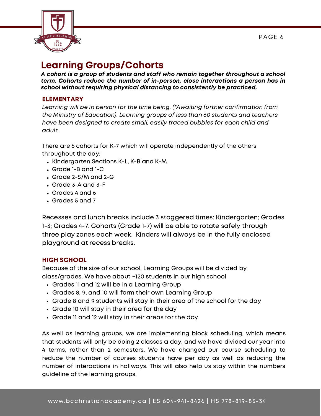

## Learning Groups/Cohorts

A cohort is a group of students and staff who remain together throughout a school term. Cohorts reduce the number of in-person, close interactions a person has in school without requiring physical distancing to consistently be practiced.

#### ELEMENTARY

Learning will be in person for the time being. (\*Awaiting further confirmation from the Ministry of Education). Learning groups of less than 60 students and teachers have been designed to create small, easily traced bubbles for each child and adult.

There are 6 cohorts for K-7 which will operate independently of the others throughout the day:

- Kindergarten Sections K-L, K-B and K-M
- Grade 1-B and 1-C
- Grade 2-S/M and 2-G
- Grade 3-A and 3-F
- Grades 4 and 6
- Grades 5 and 7

Recesses and lunch breaks include 3 staggered times: Kindergarten; Grades 1-3; Grades 4-7. Cohorts (Grade 1-7) will be able to rotate safely through three play zones each week. Kinders will always be in the fully enclosed playground at recess breaks.

#### HIGH SCHOOL

Because of the size of our school, Learning Groups will be divided by class/grades. We have about ~120 students in our high school

- Grades 11 and 12 will be in a Learning Group
- Grades 8, 9, and 10 will form their own Learning Group
- Grade 8 and 9 students will stay in their area of the school for the day
- Grade 10 will stay in their area for the day
- Grade 11 and 12 will stay in their areas for the day

As well as learning groups, we are implementing block scheduling, which means that students will only be doing 2 classes a day, and we have divided our year into 4 terms, rather than 2 semesters. We have changed our course scheduling to reduce the number of courses students have per day as well as reducing the number of interactions in hallways. This will also help us stay within the numbers guideline of the learning groups.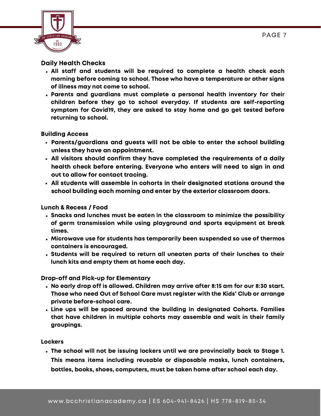

#### Daily Health Checks

- All staff and students will be required to complete a health check each morning before coming to school. Those who have a temperature or other signs of illness may not come to school.
- Parents and guardians must complete a personal health inventory for their children before they go to school everyday. If students are self-reporting symptom for Covid19, they are asked to stay home and go get tested before returning to school.

#### Building Access

- Parents/guardians and guests will not be able to enter the school building unless they have an appointment.
- All visitors should confirm they have completed the requirements of a daily health check before entering. Everyone who enters will need to sign in and out to allow for contact tracing.
- All students will assemble in cohorts in their designated stations around the school building each morning and enter by the exterior classroom doors.

#### Lunch & Recess / Food

- Snacks and lunches must be eaten in the classroom to minimize the possibility of germ transmission while using playground and sports equipment at break times.
- Microwave use for students has temporarily been suspended so use of thermos containers is encouraged.
- Students will be required to return all uneaten parts of their lunches to their lunch kits and empty them at home each day.

Drop-off and Pick-up for Elementary

- No early drop off is allowed. Children may arrive after 8:15 am for our 8:30 start. Those who need Out of School Care must register with the Kids' Club or arrange private before-school care.
- Line ups will be spaced around the building in designated Cohorts. Families that have children in multiple cohorts may assemble and wait in their family groupings.

#### Lockers

The school will not be issuing lockers until we are provincially back to Stage 1. This means items including reusable or disposable masks, lunch containers, bottles, books, shoes, computers, must be taken home after school each day.